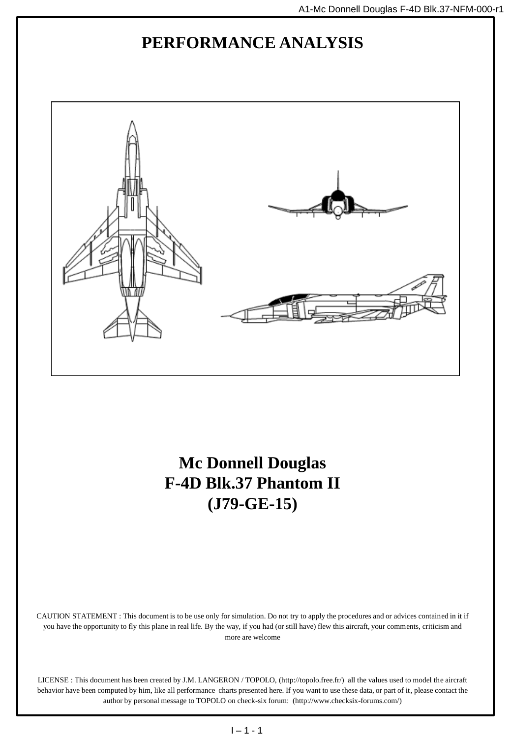## **PERFORMANCE ANALYSIS**



**Mc Donnell Douglas F-4D Blk.37 Phantom II (J79-GE-15)**

CAUTION STATEMENT : This document is to be use only for simulation. Do not try to apply the procedures and or advices contained in it if you have the opportunity to fly this plane in real life. By the way, if you had (or still have) flew this aircraft, your comments, criticism and more are welcome

LICENSE : This document has been created by J.M. LANGERON / TOPOLO, (http://topolo.free.fr/) all the values used to model the aircraft behavior have been computed by him, like all performance charts presented here. If you want to use these data, or part of it, please contact the author by personal message to TOPOLO on check-six forum: (http://www.checksix-forums.com/)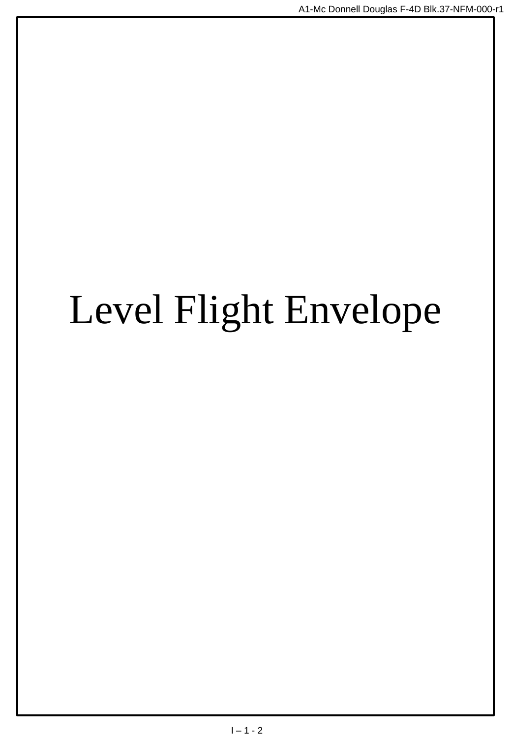# Level Flight Envelope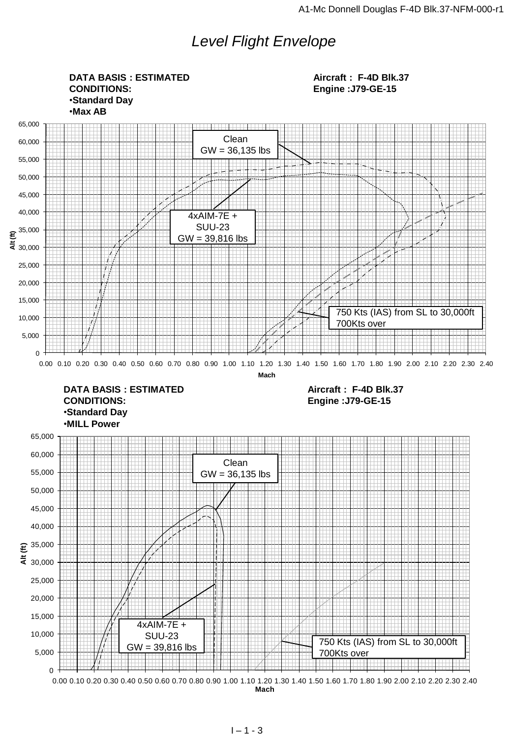## *Level Flight Envelope*

0 5,000 10,000 15,000 20,000 25,000  $\ddot{\bar{z}}$  30,000  $\widehat{\Xi}^{35,000}$ 40,000 45,000 50,000 55,000 60,000 65,000  $\frac{25}{45}$  30,000<br>
25,000<br>
26,000<br>
15,000<br>
5,000<br>
5,000<br>
5,000<br>
0 000 0.10 0.20 0.30 0.40 0.50 0.60 0.70 0.80 0.90 1.00 1.10 1.20 1.30 1.40 1.50 1.60 1.70 1.80 1.90 2.00 2.10 2.20 2.30 2.40<br>
0 0.00 0.10 0.20 0.30 0.40 0.  $\Omega$ 5,000 10,000 15,000 20,000 25,000  $\frac{1}{5}$  30,000  $\epsilon^{35,000}$ 40,000 45,000 50,000 55,000 60,000 65,000  $\frac{20,000}{4}$ <br>  $\frac{20,000}{20,000}$ <br>  $\frac{1}{10,000}$ <br>  $\frac{1}{10,000}$ <br>  $\frac{1}{10,000}$ <br>  $\frac{1}{10,000}$ <br>  $\frac{1}{10,000}$ <br>  $\frac{1}{10,000}$ <br>  $\frac{1}{10,000}$ <br>  $\frac{1}{10,000}$ <br>  $\frac{1}{10,000}$ <br>  $\frac{1}{10,000}$ <br>  $\frac{1}{10,000}$ <br>  $\frac{1}{10$ **Mach DATA BASIS : ESTIMATED CONDITIONS:** •**Standard Day** •**Max AB Aircraft : F-4D Blk.37 Engine :J79-GE-15 DATA BASIS : ESTIMATED CONDITIONS:** •**Standard Day** •**MILL Power Aircraft : F-4D Blk.37 Engine :J79-GE-15** Clean  $GW = 36,135$  lbs 4xAIM-7E + SUU-23 GW = 39,816 lbs 750 Kts (IAS) from SL to 30,000ft 700Kts over Clean  $GW = 36,135$  lbs 4xAIM-7E + SUU-23 GW = 39,816 lbs 750 Kts (IAS) from SL to 30,000ft 700Kts over

**Mach**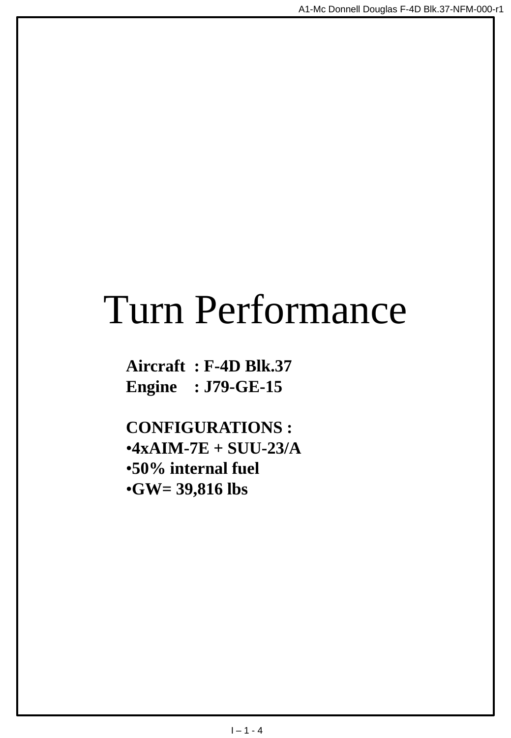## Turn Performance

**Aircraft : F-4D Blk.37 Engine : J79-GE-15**

**CONFIGURATIONS :** •**4xAIM-7E + SUU-23/A** •**50% internal fuel** •**GW= 39,816 lbs**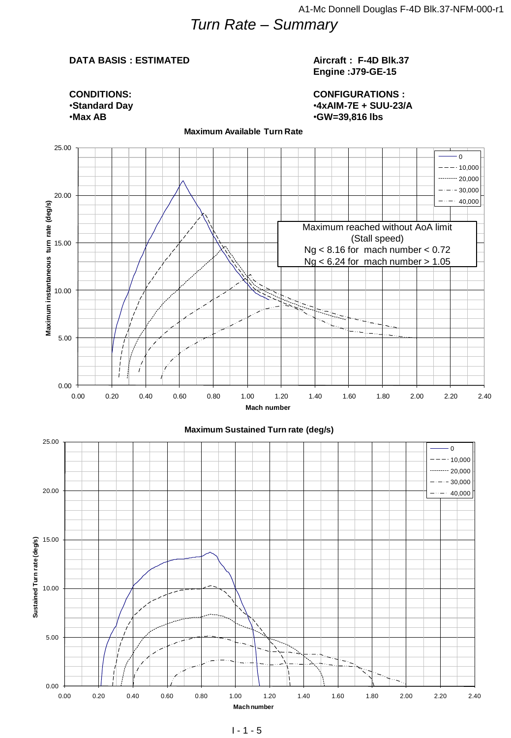## *Turn Rate – Summary*

#### **DATA BASIS : ESTIMATED**

#### **Aircraft : F-4D Blk.37 Engine :J79-GE-15**

**CONDITIONS:** •**Standard Day** •**Max AB**

**CONFIGURATIONS :** •**4xAIM-7E + SUU-23/A** •**GW=39,816 lbs**



**Maximum Available Turn Rate**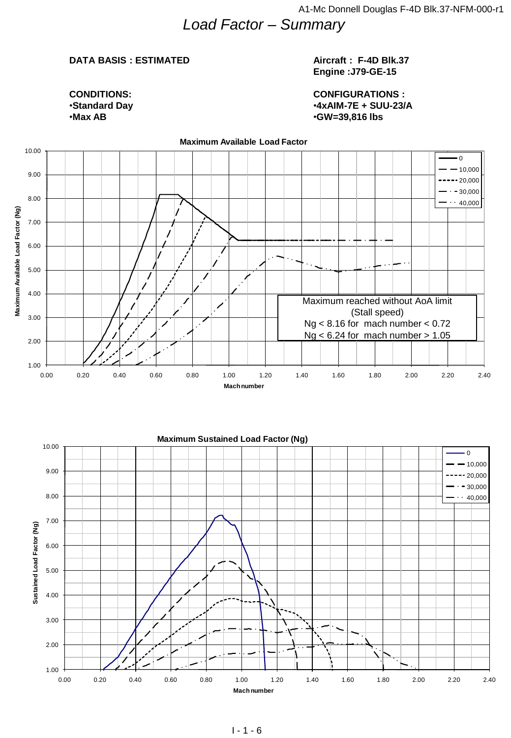## *Load Factor – Summary*

#### **DATA BASIS : ESTIMATED**

#### **Aircraft : F-4D Blk.37 Engine :J79-GE-15**

**CONDITIONS:** •**Standard Day** •**Max AB**

#### **CONFIGURATIONS :** •**4xAIM-7E + SUU-23/A** •**GW=39,816 lbs**

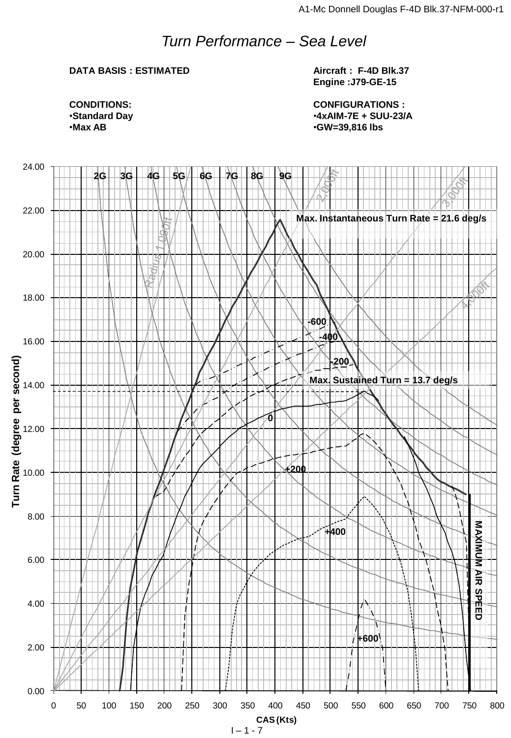## *Turn Performance – Sea Level*

### **DATA BASIS : ESTIMATED**

**Aircraft : F-4D Blk.37 Engine :J79-GE-15**

**CONFIGURATIONS :** •**4xAIM-7E + SUU-23/A** •**GW=39,816 lbs**

**CONDITIONS:** •**Standard Day** •**Max AB**

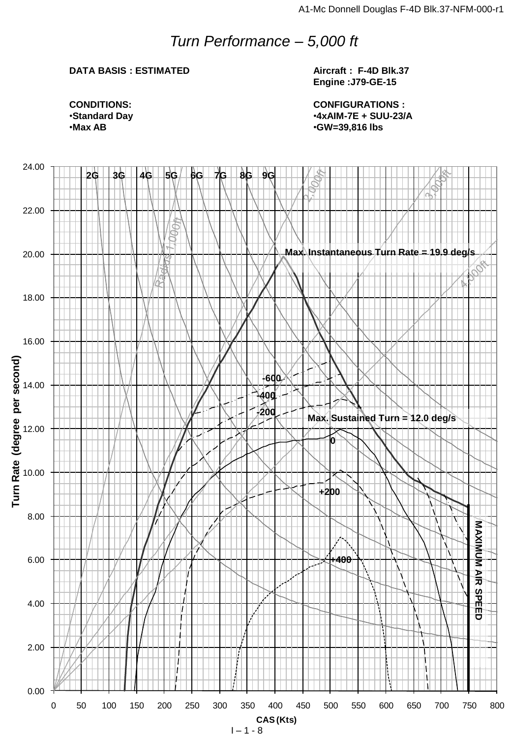## *Turn Performance – 5,000 ft*

### **DATA BASIS : ESTIMATED**

**Aircraft : F-4D Blk.37 Engine :J79-GE-15**

**CONFIGURATIONS :** •**4xAIM-7E + SUU-23/A** •**GW=39,816 lbs**

**CONDITIONS:** •**Standard Day** •**Max AB**

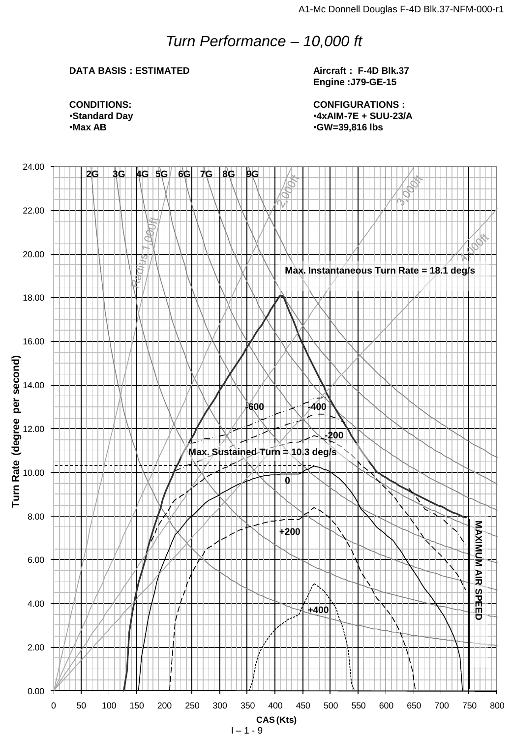## *Turn Performance – 10,000 ft*

## **DATA BASIS : ESTIMATED**

**Aircraft : F-4D Blk.37 Engine :J79-GE-15**

**CONFIGURATIONS :** •**4xAIM-7E + SUU-23/A** •**GW=39,816 lbs**

**CONDITIONS:** •**Standard Day** •**Max AB**

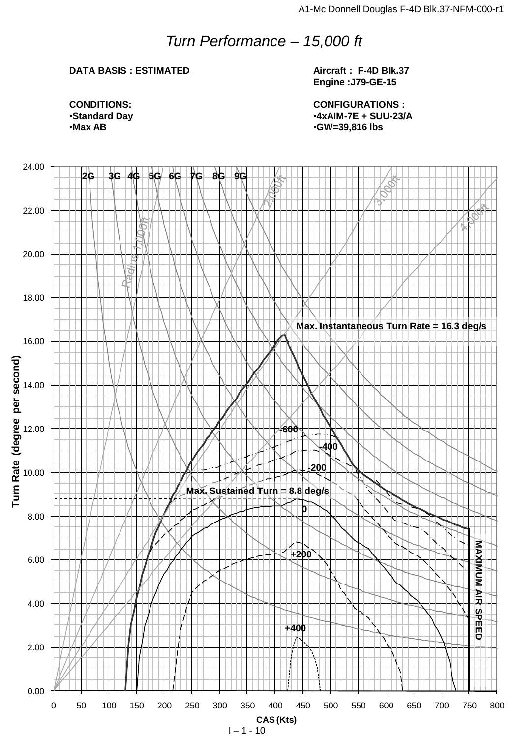## *Turn Performance – 15,000 ft*

## **DATA BASIS : ESTIMATED**

**Aircraft : F-4D Blk.37 Engine :J79-GE-15**

**CONFIGURATIONS :** •**4xAIM-7E + SUU-23/A** •**GW=39,816 lbs**

**CONDITIONS:** •**Standard Day** •**Max AB**

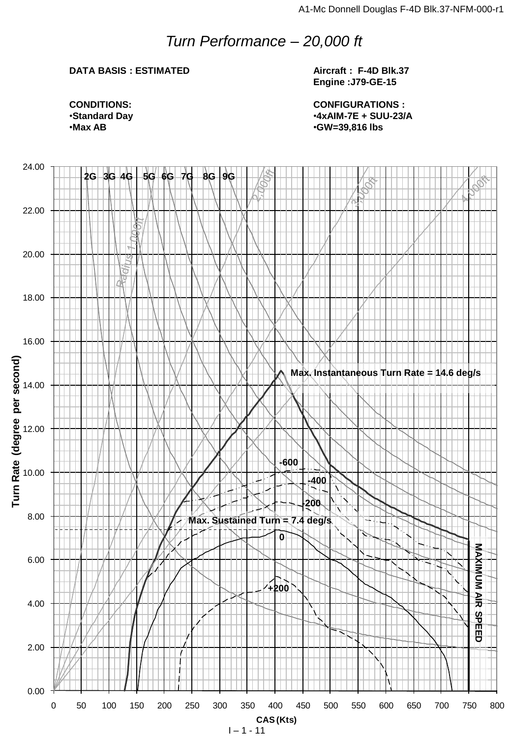## *Turn Performance – 20,000 ft*

## **DATA BASIS : ESTIMATED**

**Aircraft : F-4D Blk.37 Engine :J79-GE-15**

**CONDITIONS:** •**Standard Day** •**Max AB**

**CONFIGURATIONS :** •**4xAIM-7E + SUU-23/A** •**GW=39,816 lbs**

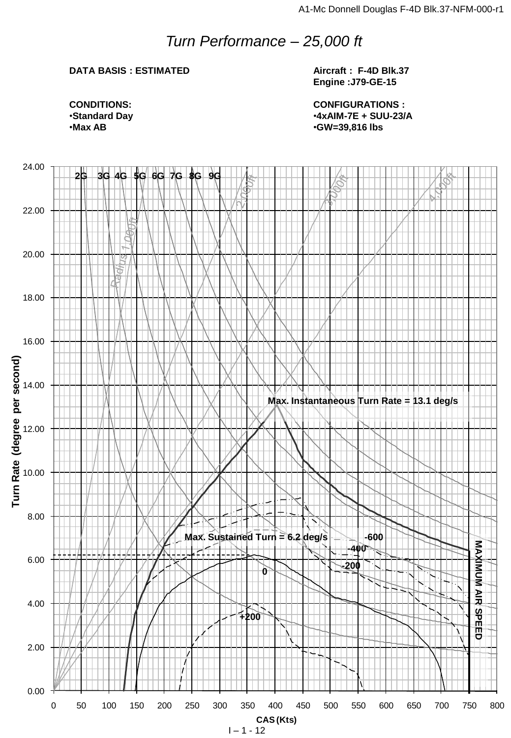## *Turn Performance – 25,000 ft*

## **DATA BASIS : ESTIMATED**

**Aircraft : F-4D Blk.37 Engine :J79-GE-15**

**CONDITIONS:** •**Standard Day** •**Max AB**

**CONFIGURATIONS :** •**4xAIM-7E + SUU-23/A** •**GW=39,816 lbs**

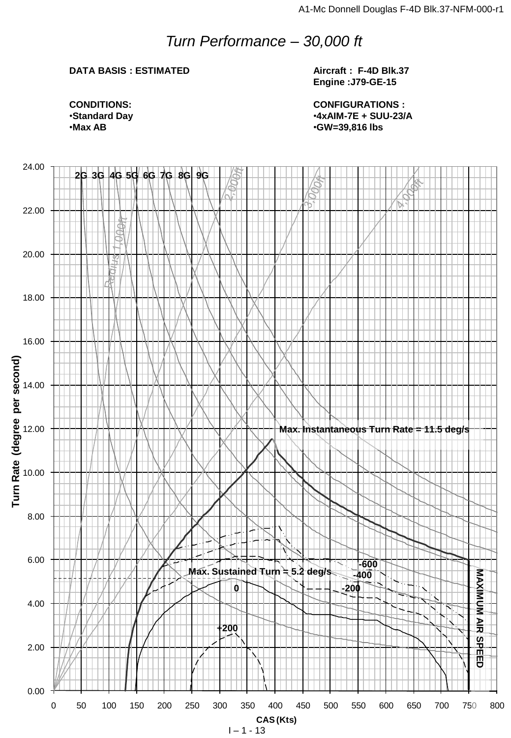## *Turn Performance – 30,000 ft*

## **DATA BASIS : ESTIMATED**

**Aircraft : F-4D Blk.37 Engine :J79-GE-15**

**CONFIGURATIONS :** •**4xAIM-7E + SUU-23/A** •**GW=39,816 lbs**

**CONDITIONS:** •**Standard Day** •**Max AB**

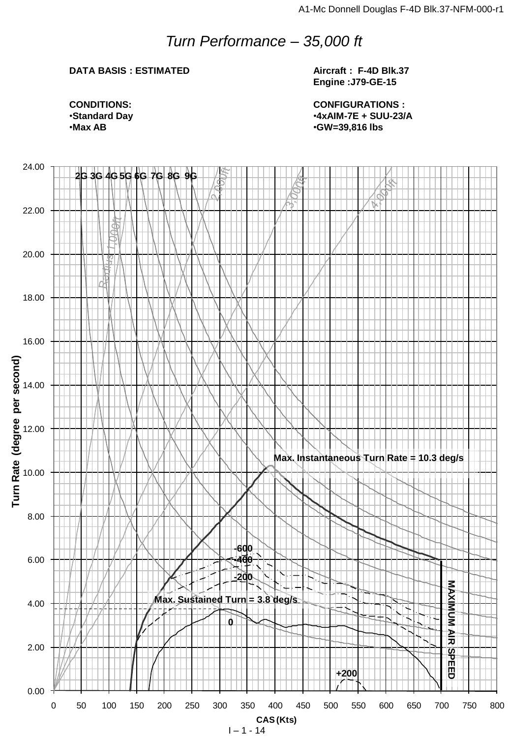## *Turn Performance – 35,000 ft*

## **DATA BASIS : ESTIMATED**

**Aircraft : F-4D Blk.37 Engine :J79-GE-15**

**CONDITIONS:** •**Standard Day** •**Max AB**

**CONFIGURATIONS :** •**4xAIM-7E + SUU-23/A** •**GW=39,816 lbs**

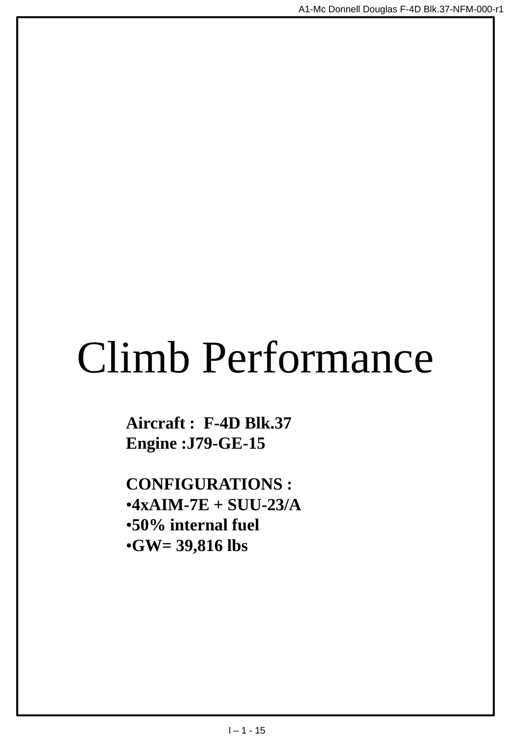# Climb Performance

**Aircraft : F-4D Blk.37 Engine :J79-GE-15**

**CONFIGURATIONS :** •**4xAIM-7E + SUU-23/A** •**50% internal fuel** •**GW= 39,816 lbs**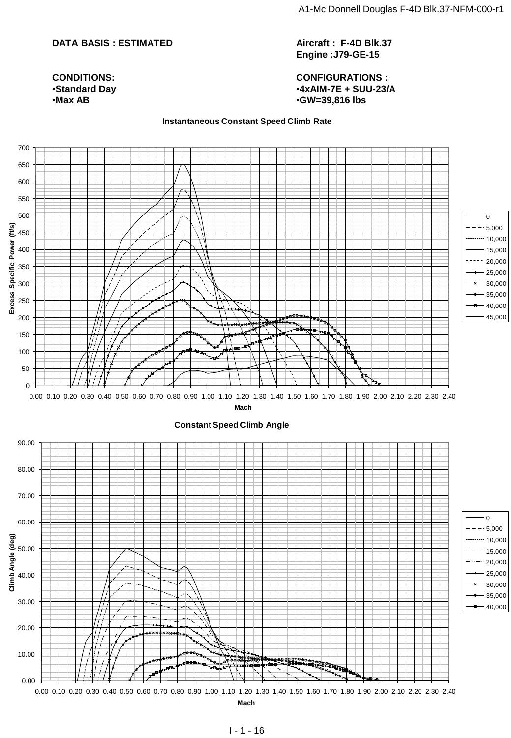#### **DATA BASIS : ESTIMATED**

**CONDITIONS:** •**Standard Day** •**Max AB**

**Aircraft : F-4D Blk.37 Engine :J79-GE-15**

**CONFIGURATIONS :** •**4xAIM-7E + SUU-23/A** •**GW=39,816 lbs**

#### **Instantaneous Constant Speed Climb Rate**

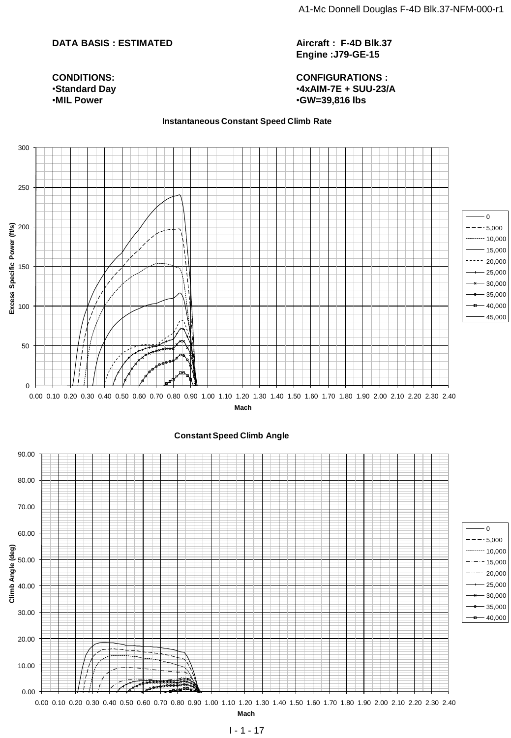#### **DATA BASIS : ESTIMATED**

**Aircraft : F-4D Blk.37 Engine :J79-GE-15**

**CONDITIONS:** •**Standard Day** •**MIL Power**

**CONFIGURATIONS :** •**4xAIM-7E + SUU-23/A** •**GW=39,816 lbs**

#### **Instantaneous Constant Speed Climb Rate**

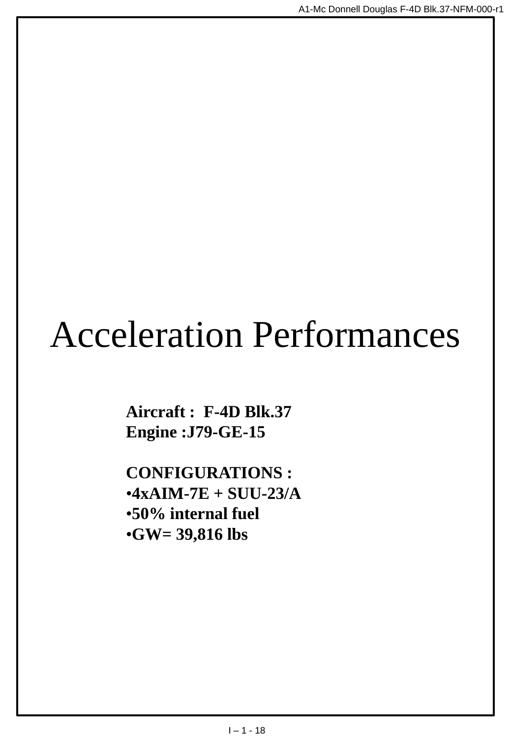## Acceleration Performances

**Aircraft : F-4D Blk.37 Engine :J79-GE-15**

**CONFIGURATIONS :** •**4xAIM-7E + SUU-23/A** •**50% internal fuel** •**GW= 39,816 lbs**